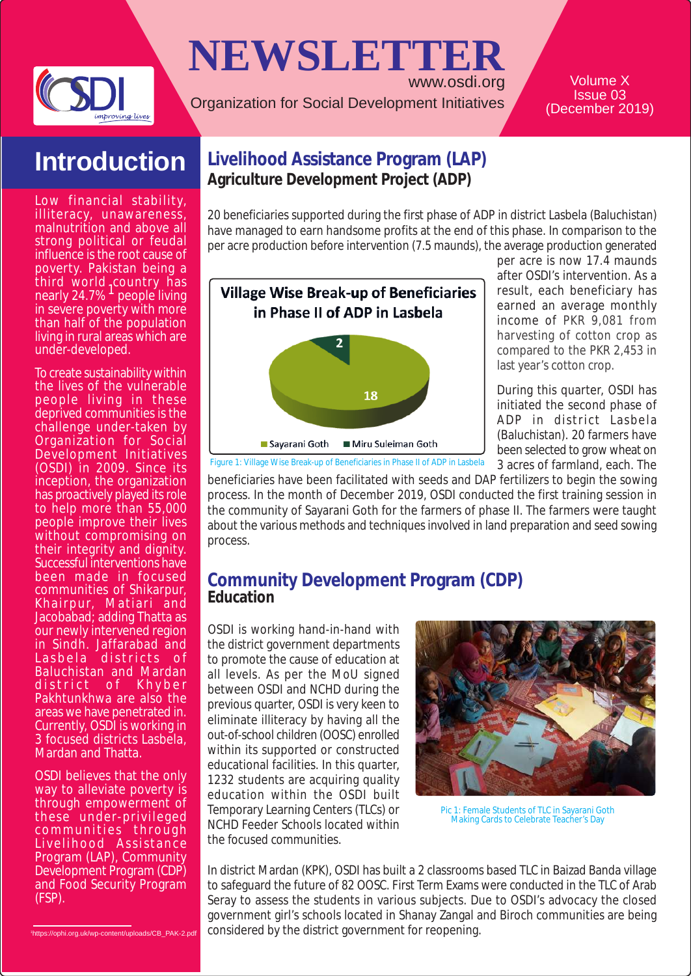

## **NEWSLETTER** www.osdi.org

Organization for Social Development Initiatives

Volume X Issue 03 (December 2019)

# **Introduction**

Low financial stability, illiteracy, unawareness, malnutrition and above all strong political or feudal influence is the root cause of poverty. Pakistan being a third world <sub>f</sub>country has<br>nearly 24.7% <sup>1</sup> people living in severe poverty with more than half of the population living in rural areas which are under-developed.

To create sustainability within the lives of the vulnerable people living in these deprived communities is the challenge under-taken by Organization for Social Development Initiatives (OSDI) in 2009. Since its inception, the organization has proactively played its role to help more than 55,000 people improve their lives without compromising on their integrity and dignity. Successful interventions have been made in focused communities of Shikarpur, Khairpur, Matiari and Jacobabad; adding Thatta as our newly intervened region in Sindh. Jaffarabad and<br>Lasbela districts of Lasbela districts Baluchistan and Mardan district of Khyber Pakhtunkhwa are also the areas we have penetrated in. Currently, OSDI is working in 3 focused districts Lasbela, Mardan and Thatta.

OSDI believes that the only way to alleviate poverty is through empowerment of these under-privileged communities through Livelihood Assistance Program (LAP), Community Development Program (CDP) and Food Security Program (FSP).

### **Livelihood Assistance Program (LAP) Agriculture Development Project (ADP)**

20 beneficiaries supported during the first phase of ADP in district Lasbela (Baluchistan) have managed to earn handsome profits at the end of this phase. In comparison to the per acre production before intervention (7.5 maunds), the average production generated



per acre is now 17.4 maunds after OSDI's intervention. As a result, each beneficiary has earned an average monthly income of PKR 9,081 from harvesting of cotton crop as compared to the PKR 2,453 in last year's cotton crop.

During this quarter, OSDI has initiated the second phase of ADP in district Lasbela (Baluchistan). 20 farmers have been selected to grow wheat on 3 acres of farmland, each. The

beneficiaries have been facilitated with seeds and DAP fertilizers to begin the sowing process. In the month of December 2019, OSDI conducted the first training session in the community of Sayarani Goth for the farmers of phase II. The farmers were taught about the various methods and techniques involved in land preparation and seed sowing process.

#### **Community Development Program (CDP) Education**

OSDI is working hand-in-hand with the district government departments to promote the cause of education at all levels. As per the MoU signed between OSDI and NCHD during the previous quarter, OSDI is very keen to eliminate illiteracy by having all the out-of-school children (OOSC) enrolled within its supported or constructed educational facilities. In this quarter, 1232 students are acquiring quality education within the OSDI built Temporary Learning Centers (TLCs) or NCHD Feeder Schools located within the focused communities.



Pic 1: Female Students of TLC in Sayarani Goth Making Cards to Celebrate Teacher's Day

In district Mardan (KPK), OSDI has built a 2 classrooms based TLC in Baizad Banda village to safeguard the future of 82 OOSC. First Term Exams were conducted in the TLC of Arab Seray to assess the students in various subjects. Due to OSDI's advocacy the closed government girl's schools located in Shanay Zangal and Biroch communities are being considered by the district government for reopening.

<sup>1</sup>https://ophi.org.uk/wp-content/uploads/CB\_PAK-2.pdf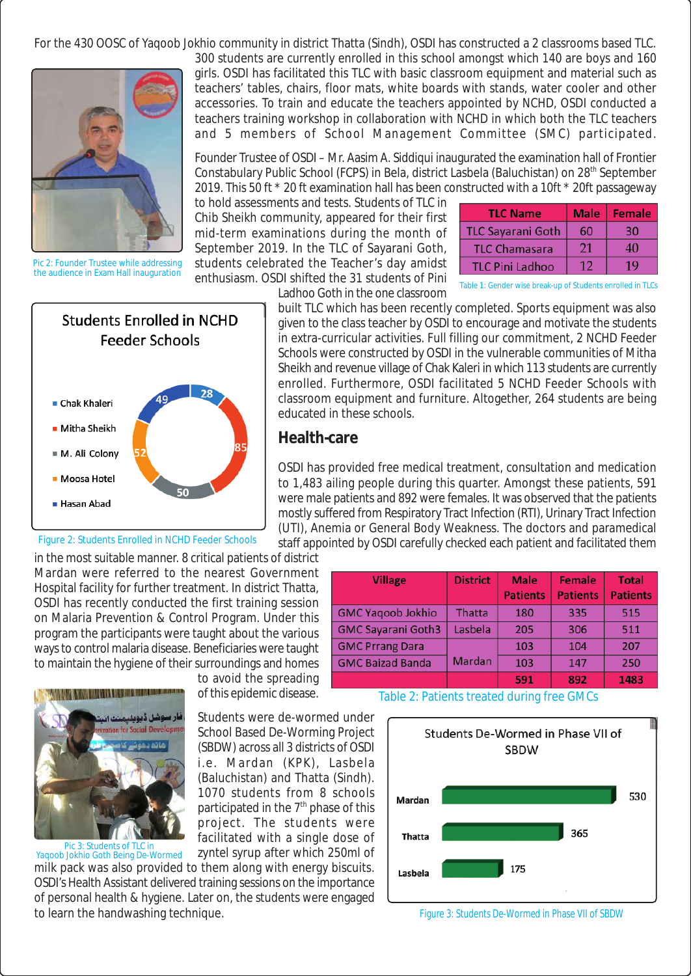For the 430 OOSC of Yaqoob Jokhio community in district Thatta (Sindh), OSDI has constructed a 2 classrooms based TLC.



Pic 2: Founder Trustee while addressing the audience in Exam Hall inauguration

300 students are currently enrolled in this school amongst which 140 are boys and 160 girls. OSDI has facilitated this TLC with basic classroom equipment and material such as teachers' tables, chairs, floor mats, white boards with stands, water cooler and other accessories. To train and educate the teachers appointed by NCHD, OSDI conducted a teachers training workshop in collaboration with NCHD in which both the TLC teachers and 5 members of School Management Committee (SMC) participated.

Founder Trustee of OSDI – Mr. Aasim A. Siddiqui inaugurated the examination hall of Frontier Constabulary Public School (FCPS) in Bela, district Lasbela (Baluchistan) on 28<sup>th</sup> September 2019. This 50 ft \* 20 ft examination hall has been constructed with a 10ft \* 20ft passageway

> built TLC which has been recently completed. Sports equipment was also given to the class teacher by OSDI to encourage and motivate the students in extra-curricular activities. Full filling our commitment, 2 NCHD Feeder Schools were constructed by OSDI in the vulnerable communities of Mitha Sheikh and revenue village of Chak Kaleri in which 113 students are currently enrolled. Furthermore, OSDI facilitated 5 NCHD Feeder Schools with classroom equipment and furniture. Altogether, 264 students are being

> OSDI has provided free medical treatment, consultation and medication to 1,483 ailing people during this quarter. Amongst these patients, 591

to hold assessments and tests. Students of TLC in Chib Sheikh community, appeared for their first mid-term examinations during the month of September 2019. In the TLC of Sayarani Goth, students celebrated the Teacher's day amidst enthusiasm. OSDI shifted the 31 students of Pini Ladhoo Goth in the one classroom

educated in these schools.

**Health-care**

| <b>TLC Name</b>          | <b>Male</b> | <b>Female</b> |
|--------------------------|-------------|---------------|
| <b>TLC Sayarani Goth</b> | 60          | 30            |
| <b>TLC Chamasara</b>     | 21          | 40            |
| <b>TLC Pini Ladhoo</b>   | 12          | 19            |

Table 1: Gender wise break-up of Students enrolled in TLCs



Figure 2: Students Enrolled in NCHD Feeder Schools

in the most suitable manner. 8 critical patients of district Mardan were referred to the nearest Government Hospital facility for further treatment. In district Thatta, OSDI has recently conducted the first training session on Malaria Prevention & Control Program. Under this program the participants were taught about the various ways to control malaria disease. Beneficiaries were taught to maintain the hygiene of their surroundings and homes



Pic 3: Students of TLC in Yaqoob Jokhio Goth Being De-Wormed

to avoid the spreading of this epidemic disease.

Students were de-wormed under School Based De-Worming Project (SBDW) across all 3 districts of OSDI i.e. Mardan (KPK), Lasbela (Baluchistan) and Thatta (Sindh). 1070 students from 8 schools participated in the 7<sup>th</sup> phase of this project. The students were facilitated with a single dose of zyntel syrup after which 250ml of

milk pack was also provided to them along with energy biscuits. OSDI's Health Assistant delivered training sessions on the importance of personal health & hygiene. Later on, the students were engaged to learn the handwashing technique.

were male patients and 892 were females. It was observed that the patients mostly suffered from Respiratory Tract Infection (RTI), Urinary Tract Infection (UTI), Anemia or General Body Weakness. The doctors and paramedical staff appointed by OSDI carefully checked each patient and facilitated them **Village District Male Female Total Patients Patients Patients** 515 **GMC Yagoob Jokhio Thatta** 180 335 **GMC Sayarani Goth3** Lasbela 205 306 511 **GMC Prrang Dara** 103 104 207 **GMC Baizad Banda** Mardan 103 147 250

Table 2: Patients treated during free GMCs



591

892

1483

Figure 3: Students De-Wormed in Phase VII of SBDW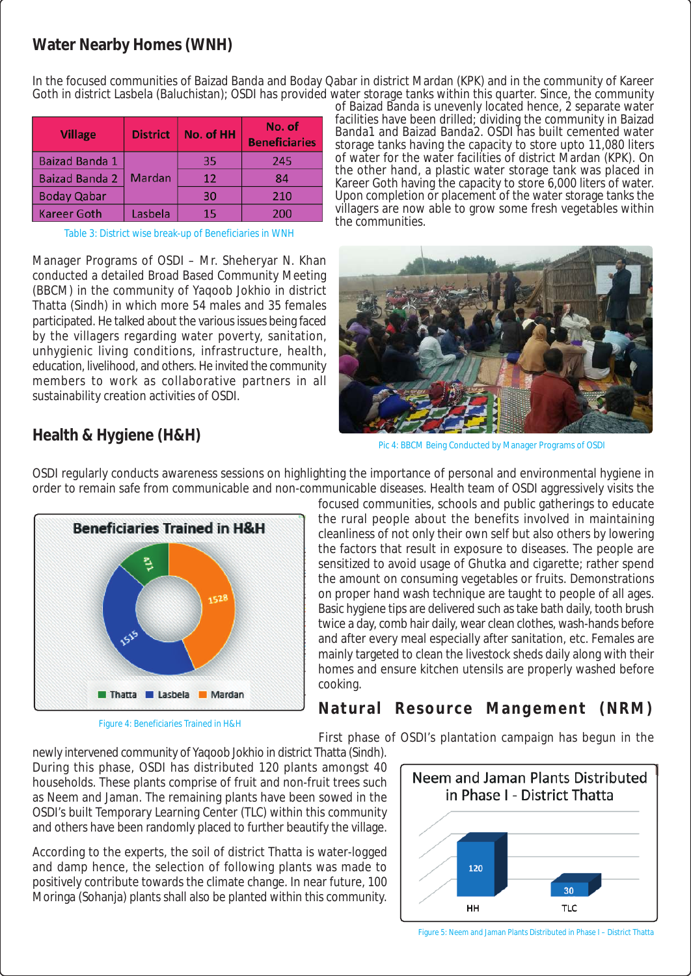### **Water Nearby Homes (WNH)**

In the focused communities of Baizad Banda and Boday Qabar in district Mardan (KPK) and in the community of Kareer Goth in district Lasbela (Baluchistan); OSDI has provided water storage tanks within this quarter. Since, the community

| <b>Village</b>        | <b>District</b> | No. of HH | No. of<br><b>Beneficiaries</b> |
|-----------------------|-----------------|-----------|--------------------------------|
| <b>Baizad Banda 1</b> | Mardan          | 35        | 245                            |
| <b>Baizad Banda 2</b> |                 | 12        | 84                             |
| <b>Boday Qabar</b>    |                 | 30        | 210                            |
| <b>Kareer Goth</b>    | Lasbela         | 15        | 200                            |

Table 3: District wise break-up of Beneficiaries in WNH

Manager Programs of OSDI – Mr. Sheheryar N. Khan conducted a detailed Broad Based Community Meeting (BBCM) in the community of Yaqoob Jokhio in district Thatta (Sindh) in which more 54 males and 35 females participated. He talked about the various issues being faced by the villagers regarding water poverty, sanitation, unhygienic living conditions, infrastructure, health, education, livelihood, and others. He invited the community members to work as collaborative partners in all sustainability creation activities of OSDI.

of Baizad Banda is unevenly located hence, 2 separate water facilities have been drilled; dividing the community in Baizad Banda1 and Baizad Banda2. OSDI has built cemented water storage tanks having the capacity to store upto 11,080 liters of water for the water facilities of district Mardan (KPK). On the other hand, a plastic water storage tank was placed in Kareer Goth having the capacity to store 6,000 liters of water. Upon completion or placement of the water storage tanks the villagers are now able to grow some fresh vegetables within the communities.



Pic 4: BBCM Being Conducted by Manager Programs of OSDI

**Health & Hygiene (H&H)**

OSDI regularly conducts awareness sessions on highlighting the importance of personal and environmental hygiene in order to remain safe from communicable and non-communicable diseases. Health team of OSDI aggressively visits the



Figure 4: Beneficiaries Trained in H&H

focused communities, schools and public gatherings to educate the rural people about the benefits involved in maintaining cleanliness of not only their own self but also others by lowering the factors that result in exposure to diseases. The people are sensitized to avoid usage of Ghutka and cigarette; rather spend the amount on consuming vegetables or fruits. Demonstrations on proper hand wash technique are taught to people of all ages. Basic hygiene tips are delivered such as take bath daily, tooth brush twice a day, comb hair daily, wear clean clothes, wash-hands before and after every meal especially after sanitation, etc. Females are mainly targeted to clean the livestock sheds daily along with their homes and ensure kitchen utensils are properly washed before cooking.

**Natural Resource Mangement (NRM)**

First phase of OSDI's plantation campaign has begun in the

newly intervened community of Yaqoob Jokhio in district Thatta (Sindh). During this phase, OSDI has distributed 120 plants amongst 40 households. These plants comprise of fruit and non-fruit trees such as Neem and Jaman. The remaining plants have been sowed in the OSDI's built Temporary Learning Center (TLC) within this community and others have been randomly placed to further beautify the village.

According to the experts, the soil of district Thatta is water-logged and damp hence, the selection of following plants was made to positively contribute towards the climate change. In near future, 100 Moringa (Sohanja) plants shall also be planted within this community.



Figure 5: Neem and Jaman Plants Distributed in Phase I – District Thatta